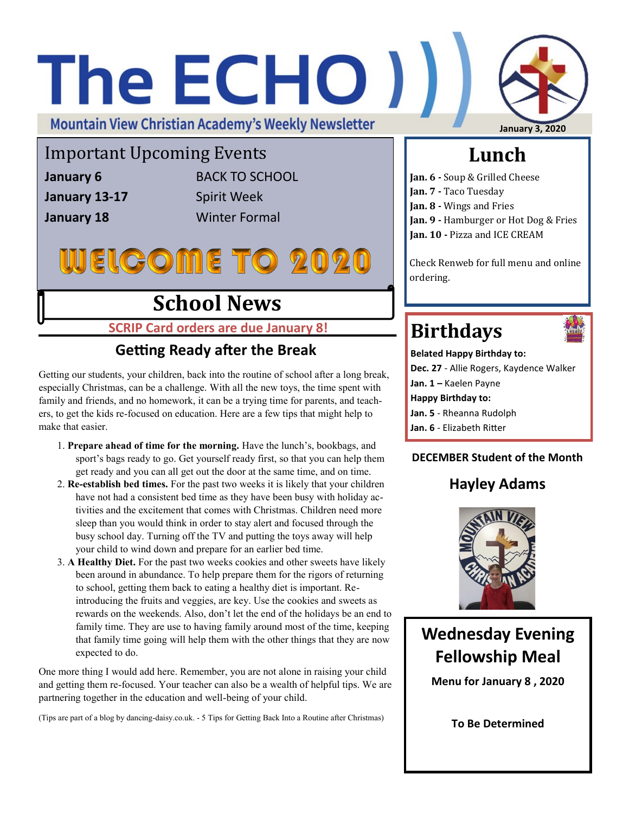# The ECHO ) **Mountain View Christian Academy's Weekly Newsletter January 3, 2020**

Important Upcoming Events

**January 13-17** Spirit Week

**January 6** BACK TO SCHOOL **January 18** Winter Formal

# **WEIGOME TO 2020**

## **School News**

**SCRIP Card orders are due January 8!**

### **Getting Ready after the Break**

Getting our students, your children, back into the routine of school after a long break, especially Christmas, can be a challenge. With all the new toys, the time spent with family and friends, and no homework, it can be a trying time for parents, and teachers, to get the kids re-focused on education. Here are a few tips that might help to make that easier.

- 1. **Prepare ahead of time for the morning.** Have the lunch's, bookbags, and sport's bags ready to go. Get yourself ready first, so that you can help them get ready and you can all get out the door at the same time, and on time.
- 2. **Re-establish bed times.** For the past two weeks it is likely that your children have not had a consistent bed time as they have been busy with holiday activities and the excitement that comes with Christmas. Children need more sleep than you would think in order to stay alert and focused through the busy school day. Turning off the TV and putting the toys away will help your child to wind down and prepare for an earlier bed time.
- 3. **A Healthy Diet.** For the past two weeks cookies and other sweets have likely been around in abundance. To help prepare them for the rigors of returning to school, getting them back to eating a healthy diet is important. Reintroducing the fruits and veggies, are key. Use the cookies and sweets as rewards on the weekends. Also, don't let the end of the holidays be an end to family time. They are use to having family around most of the time, keeping that family time going will help them with the other things that they are now expected to do.

One more thing I would add here. Remember, you are not alone in raising your child and getting them re-focused. Your teacher can also be a wealth of helpful tips. We are partnering together in the education and well-being of your child.

(Tips are part of a blog by dancing-daisy.co.uk. - 5 Tips for Getting Back Into a Routine after Christmas)

### **Lunch**

**Jan. 6 -** Soup & Grilled Cheese **Jan. 7 -** Taco Tuesday **Jan. 8 -** Wings and Fries **Jan. 9 -** Hamburger or Hot Dog & Fries **Jan. 10 -** Pizza and ICE CREAM

Check Renweb for full menu and online ordering.

# **Birthdays**



**Belated Happy Birthday to: Dec. 27** - Allie Rogers, Kaydence Walker **Jan. 1 –** Kaelen Payne **Happy Birthday to: Jan. 5** - Rheanna Rudolph **Jan. 6** - Elizabeth Ritter

#### **DECEMBER Student of the Month**

### **Hayley Adams**



### **Wednesday Evening Fellowship Meal**

**Menu for January 8 , 2020**

**To Be Determined**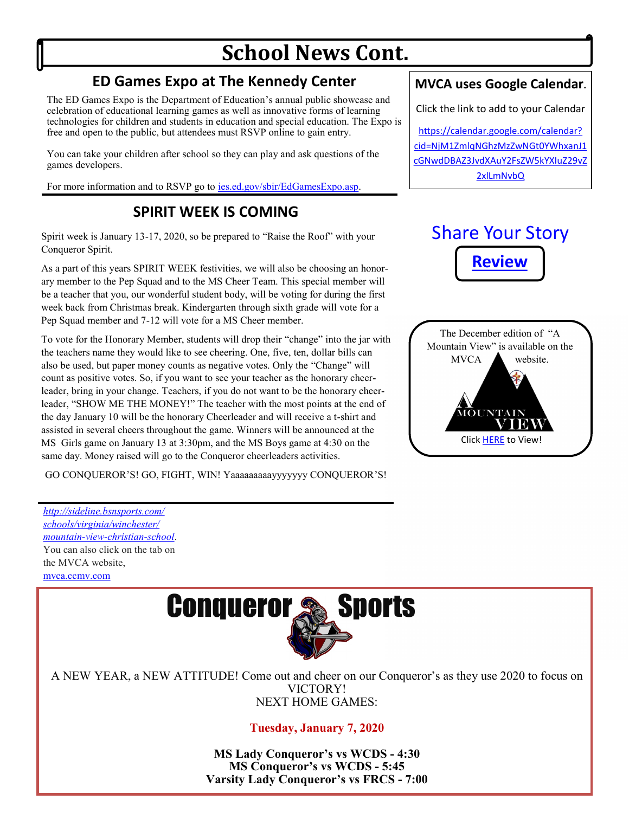## **School News Cont.**

### **ED Games Expo at The Kennedy Center**

The ED Games Expo is the Department of Education's annual public showcase and celebration of educational learning games as well as innovative forms of learning technologies for children and students in education and special education. The Expo is free and open to the public, but attendees must RSVP online to gain entry.

You can take your children after school so they can play and ask questions of the games developers.

For more information and to RSVP go to [ies.ed.gov/sbir/EdGamesExpo.asp.](https://ies.ed.gov/sbir/EdGamesExpo.asp)

#### **SPIRIT WEEK IS COMING**

Spirit week is January 13-17, 2020, so be prepared to "Raise the Roof" with your Conqueror Spirit.

As a part of this years SPIRIT WEEK festivities, we will also be choosing an honorary member to the Pep Squad and to the MS Cheer Team. This special member will be a teacher that you, our wonderful student body, will be voting for during the first week back from Christmas break. Kindergarten through sixth grade will vote for a Pep Squad member and 7-12 will vote for a MS Cheer member.

To vote for the Honorary Member, students will drop their "change" into the jar with the teachers name they would like to see cheering. One, five, ten, dollar bills can also be used, but paper money counts as negative votes. Only the "Change" will count as positive votes. So, if you want to see your teacher as the honorary cheerleader, bring in your change. Teachers, if you do not want to be the honorary cheerleader, "SHOW ME THE MONEY!" The teacher with the most points at the end of the day January 10 will be the honorary Cheerleader and will receive a t-shirt and assisted in several cheers throughout the game. Winners will be announced at the MS Girls game on January 13 at 3:30pm, and the MS Boys game at 4:30 on the same day. Money raised will go to the Conqueror cheerleaders activities.

GO CONQUEROR'S! GO, FIGHT, WIN! Yaaaaaaaaayyyyyyy CONQUEROR'S!

*[http://sideline.bsnsports.com/](http://sideline.bsnsports.com/schools/virginia/winchester/mountain-view-christian-school) [schools/virginia/winchester/](http://sideline.bsnsports.com/schools/virginia/winchester/mountain-view-christian-school) [mountain](http://sideline.bsnsports.com/schools/virginia/winchester/mountain-view-christian-school)-view-christian-school*. You can also click on the tab on the MVCA website, <mvca.ccmv.com>



A NEW YEAR, a NEW ATTITUDE! Come out and cheer on our Conqueror's as they use 2020 to focus on VICTORY! NEXT HOME GAMES:

#### **Tuesday, January 7, 2020**

**MS Lady Conqueror's vs WCDS - 4:30 MS Conqueror's vs WCDS - 5:45 Varsity Lady Conqueror's vs FRCS - 7:00**

#### **MVCA uses Google Calendar.**

Click the link to add to your Calendar

[https://calendar.google.com/calendar?](https://calendar.google.com/calendar?cid=NjM1ZmlqNGhzMzZwNGt0YWhxanJ1cGNwdDBAZ3JvdXAuY2FsZW5kYXIuZ29vZ2xlLmNvbQ) [cid=NjM1ZmlqNGhzMzZwNGt0YWhxanJ1](https://calendar.google.com/calendar?cid=NjM1ZmlqNGhzMzZwNGt0YWhxanJ1cGNwdDBAZ3JvdXAuY2FsZW5kYXIuZ29vZ2xlLmNvbQ) [cGNwdDBAZ3JvdXAuY2FsZW5kYXIuZ29vZ](https://calendar.google.com/calendar?cid=NjM1ZmlqNGhzMzZwNGt0YWhxanJ1cGNwdDBAZ3JvdXAuY2FsZW5kYXIuZ29vZ2xlLmNvbQ) [2xlLmNvbQ](https://calendar.google.com/calendar?cid=NjM1ZmlqNGhzMzZwNGt0YWhxanJ1cGNwdDBAZ3JvdXAuY2FsZW5kYXIuZ29vZ2xlLmNvbQ)